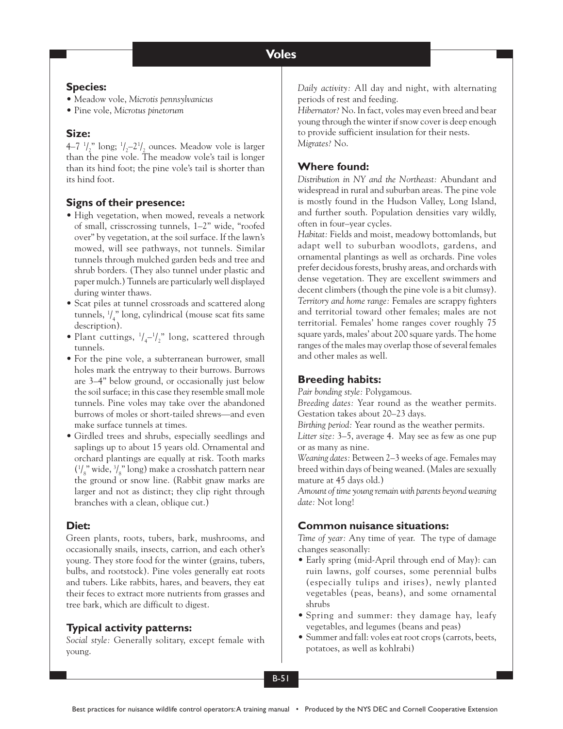#### **Species:**

- Meadow vole, *Microtis pennsylvanicus*
- Pine vole, *Microtus pinetorum*

### **Size:**

4–7 $\binom{1}{2}$ " long;  $\binom{1}{2}$ –2 $\binom{1}{2}$  ounces. Meadow vole is larger than the pine vole. The meadow vole's tail is longer than its hind foot; the pine vole's tail is shorter than its hind foot.

### **Signs of their presence:**

- High vegetation, when mowed, reveals a network of small, crisscrossing tunnels, 1–2" wide, "roofed over" by vegetation, at the soil surface. If the lawn's mowed, will see pathways, not tunnels. Similar tunnels through mulched garden beds and tree and shrub borders. (They also tunnel under plastic and paper mulch.) Tunnels are particularly well displayed during winter thaws.
- Scat piles at tunnel crossroads and scattered along tunnels, 1 / 4 " long, cylindrical (mouse scat fits same description).
- Plant cuttings,  $\frac{1}{4} \frac{1}{2}$  long, scattered through tunnels.
- For the pine vole, a subterranean burrower, small holes mark the entryway to their burrows. Burrows are 3–4" below ground, or occasionally just below the soil surface; in this case they resemble small mole tunnels. Pine voles may take over the abandoned burrows of moles or short-tailed shrews—and even make surface tunnels at times.
- Girdled trees and shrubs, especially seedlings and saplings up to about 15 years old. Ornamental and orchard plantings are equally at risk. Tooth marks  $(1/_{8}$ " wide,  $3/_{8}$ " long) make a crosshatch pattern near the ground or snow line. (Rabbit gnaw marks are larger and not as distinct; they clip right through branches with a clean, oblique cut.)

### **Diet:**

Green plants, roots, tubers, bark, mushrooms, and occasionally snails, insects, carrion, and each other's young. They store food for the winter (grains, tubers, bulbs, and rootstock). Pine voles generally eat roots and tubers. Like rabbits, hares, and beavers, they eat their feces to extract more nutrients from grasses and tree bark, which are difficult to digest.

# **Typical activity patterns:**

*Social style:* Generally solitary, except female with young.

*Daily activity:* All day and night, with alternating periods of rest and feeding.

*Hibernator?* No. In fact, voles may even breed and bear young through the winter if snow cover is deep enough to provide sufficient insulation for their nests. *Migrates?* No.

## **Where found:**

*Distribution in NY and the Northeast:* Abundant and widespread in rural and suburban areas. The pine vole is mostly found in the Hudson Valley, Long Island, and further south. Population densities vary wildly, often in four–year cycles.

*Habitat:* Fields and moist, meadowy bottomlands, but adapt well to suburban woodlots, gardens, and ornamental plantings as well as orchards. Pine voles prefer decidous forests, brushy areas, and orchards with dense vegetation. They are excellent swimmers and decent climbers (though the pine vole is a bit clumsy). *Territory and home range:* Females are scrappy fighters and territorial toward other females; males are not territorial. Females' home ranges cover roughly 75 square yards, males' about 200 square yards. The home ranges of the males may overlap those of several females and other males as well.

### **Breeding habits:**

*Pair bonding style:* Polygamous.

*Breeding dates:* Year round as the weather permits. Gestation takes about 20–23 days.

*Birthing period:* Year round as the weather permits.

*Litter size:* 3–5, average 4. May see as few as one pup or as many as nine.

*Weaning dates:* Between 2–3 weeks of age. Females may breed within days of being weaned. (Males are sexually mature at 45 days old.)

*Amount of time young remain with parents beyond weaning date:* Not long!

# **Common nuisance situations:**

*Time of year:* Any time of year. The type of damage changes seasonally:

- Early spring (mid-April through end of May): can ruin lawns, golf courses, some perennial bulbs (especially tulips and irises), newly planted vegetables (peas, beans), and some ornamental shrubs
- Spring and summer: they damage hay, leafy vegetables, and legumes (beans and peas)
- Summer and fall: voles eat root crops (carrots, beets, potatoes, as well as kohlrabi)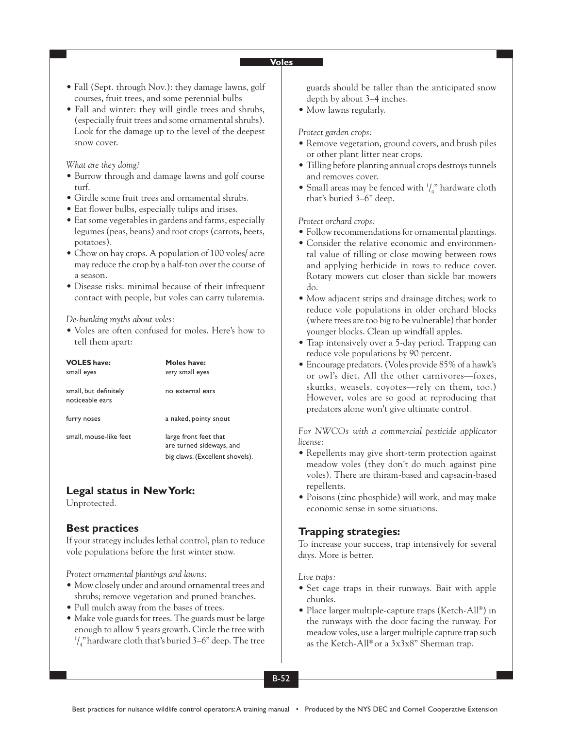#### **Voles**

- Fall (Sept. through Nov.): they damage lawns, golf courses, fruit trees, and some perennial bulbs
- Fall and winter: they will girdle trees and shrubs, (especially fruit trees and some ornamental shrubs). Look for the damage up to the level of the deepest snow cover.

#### *What are they doing?*

- Burrow through and damage lawns and golf course turf.
- Girdle some fruit trees and ornamental shrubs.
- Eat flower bulbs, especially tulips and irises.
- Eat some vegetables in gardens and farms, especially legumes (peas, beans) and root crops (carrots, beets, potatoes).
- Chow on hay crops. A population of 100 voles/ acre may reduce the crop by a half-ton over the course of a season.
- Disease risks: minimal because of their infrequent contact with people, but voles can carry tularemia.

#### *De-bunking myths about voles:*

• Voles are often confused for moles. Here's how to tell them apart:

| <b>VOLES</b> have:<br>small eyes         | Moles have:<br>very small eyes                                                       |
|------------------------------------------|--------------------------------------------------------------------------------------|
| small, but definitely<br>noticeable ears | no external ears                                                                     |
| furry noses                              | a naked, pointy snout                                                                |
| small, mouse-like feet                   | large front feet that<br>are turned sideways, and<br>big claws. (Excellent shovels). |

### **Legal status in New York:**

Unprotected.

### **Best practices**

If your strategy includes lethal control, plan to reduce vole populations before the first winter snow.

*Protect ornamental plantings and lawns:*

- Mow closely under and around ornamental trees and shrubs; remove vegetation and pruned branches.
- Pull mulch away from the bases of trees.
- Make vole guards for trees. The guards must be large enough to allow 5 years growth. Circle the tree with  $\frac{1}{4}$ " hardware cloth that's buried 3–6" deep. The tree

guards should be taller than the anticipated snow depth by about 3–4 inches.

• Mow lawns regularly.

#### *Protect garden crops:*

- Remove vegetation, ground covers, and brush piles or other plant litter near crops.
- Tilling before planting annual crops destroys tunnels and removes cover.
- Small areas may be fenced with  $\frac{1}{4}$ " hardware cloth that's buried 3–6" deep.

#### *Protect orchard crops:*

- Follow recommendations for ornamental plantings.
- Consider the relative economic and environmental value of tilling or close mowing between rows and applying herbicide in rows to reduce cover. Rotary mowers cut closer than sickle bar mowers do.
- Mow adjacent strips and drainage ditches; work to reduce vole populations in older orchard blocks (where trees are too big to be vulnerable) that border younger blocks. Clean up windfall apples.
- Trap intensively over a 5-day period. Trapping can reduce vole populations by 90 percent.
- Encourage predators. (Voles provide 85% of a hawk's or owl's diet. All the other carnivores—foxes, skunks, weasels, coyotes—rely on them, too.) However, voles are so good at reproducing that predators alone won't give ultimate control.

*For NWCOs with a commercial pesticide applicator license:*

- Repellents may give short-term protection against meadow voles (they don't do much against pine voles). There are thiram-based and capsacin-based repellents.
- Poisons (zinc phosphide) will work, and may make economic sense in some situations.

### **Trapping strategies:**

To increase your success, trap intensively for several days. More is better.

#### *Live traps:*

- Set cage traps in their runways. Bait with apple chunks.
- Place larger multiple-capture traps (Ketch-All®) in the runways with the door facing the runway. For meadow voles, use a larger multiple capture trap such as the Ketch-All® or a 3x3x8" Sherman trap.